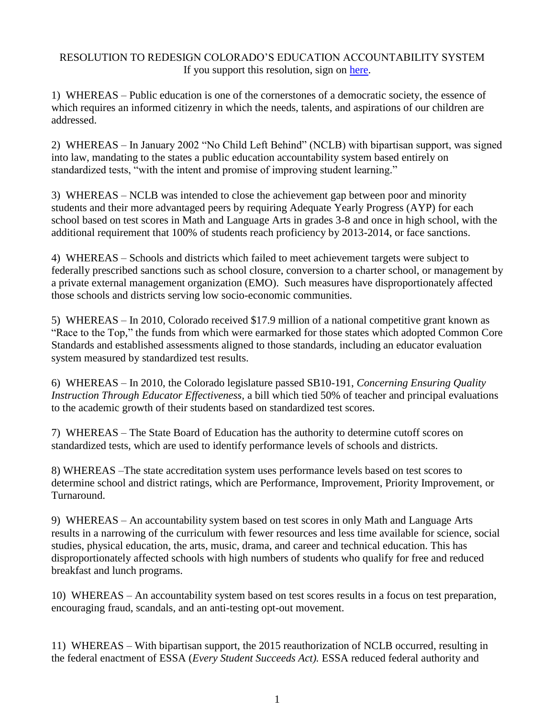## RESOLUTION TO REDESIGN COLORADO'S EDUCATION ACCOUNTABILITY SYSTEM If you support this resolution, sign on [here.](https://mailchi.mp/69c5dee51515/resolution-to-redesign-edudation-accountability)

1) WHEREAS – Public education is one of the cornerstones of a democratic society, the essence of which requires an informed citizenry in which the needs, talents, and aspirations of our children are addressed.

2) WHEREAS – In January 2002 "No Child Left Behind" (NCLB) with bipartisan support, was signed into law, mandating to the states a public education accountability system based entirely on standardized tests, "with the intent and promise of improving student learning."

3) WHEREAS – NCLB was intended to close the achievement gap between poor and minority students and their more advantaged peers by requiring Adequate Yearly Progress (AYP) for each school based on test scores in Math and Language Arts in grades 3-8 and once in high school, with the additional requirement that 100% of students reach proficiency by 2013-2014, or face sanctions.

4) WHEREAS – Schools and districts which failed to meet achievement targets were subject to federally prescribed sanctions such as school closure, conversion to a charter school, or management by a private external management organization (EMO). Such measures have disproportionately affected those schools and districts serving low socio-economic communities.

5) WHEREAS – In 2010, Colorado received \$17.9 million of a national competitive grant known as "Race to the Top," the funds from which were earmarked for those states which adopted Common Core Standards and established assessments aligned to those standards, including an educator evaluation system measured by standardized test results.

6) WHEREAS – In 2010, the Colorado legislature passed SB10-191, *Concerning Ensuring Quality Instruction Through Educator Effectiveness,* a bill which tied 50% of teacher and principal evaluations to the academic growth of their students based on standardized test scores.

7) WHEREAS – The State Board of Education has the authority to determine cutoff scores on standardized tests, which are used to identify performance levels of schools and districts.

8) WHEREAS –The state accreditation system uses performance levels based on test scores to determine school and district ratings, which are Performance, Improvement, Priority Improvement, or Turnaround.

9) WHEREAS – An accountability system based on test scores in only Math and Language Arts results in a narrowing of the curriculum with fewer resources and less time available for science, social studies, physical education, the arts, music, drama, and career and technical education. This has disproportionately affected schools with high numbers of students who qualify for free and reduced breakfast and lunch programs.

10) WHEREAS – An accountability system based on test scores results in a focus on test preparation, encouraging fraud, scandals, and an anti-testing opt-out movement.

11) WHEREAS – With bipartisan support, the 2015 reauthorization of NCLB occurred, resulting in the federal enactment of ESSA (*Every Student Succeeds Act).* ESSA reduced federal authority and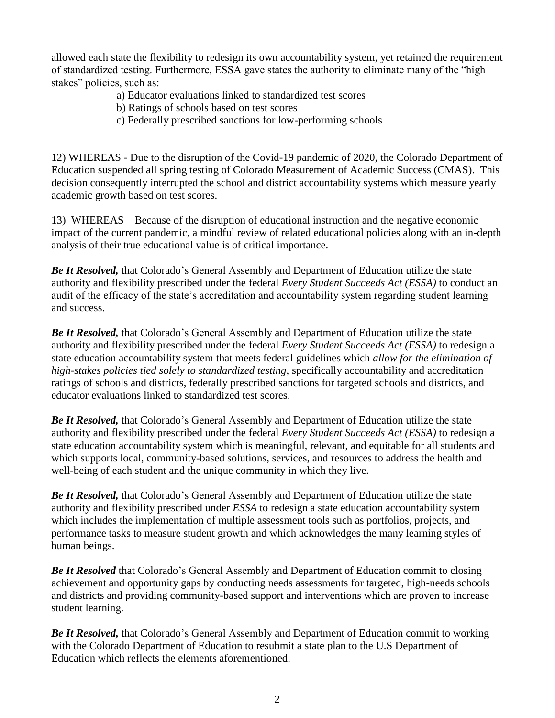allowed each state the flexibility to redesign its own accountability system, yet retained the requirement of standardized testing. Furthermore, ESSA gave states the authority to eliminate many of the "high stakes" policies, such as:

- a) Educator evaluations linked to standardized test scores
- b) Ratings of schools based on test scores
- c) Federally prescribed sanctions for low-performing schools

12) WHEREAS - Due to the disruption of the Covid-19 pandemic of 2020, the Colorado Department of Education suspended all spring testing of Colorado Measurement of Academic Success (CMAS). This decision consequently interrupted the school and district accountability systems which measure yearly academic growth based on test scores.

13) WHEREAS – Because of the disruption of educational instruction and the negative economic impact of the current pandemic, a mindful review of related educational policies along with an in-depth analysis of their true educational value is of critical importance.

*Be It Resolved,* that Colorado's General Assembly and Department of Education utilize the state authority and flexibility prescribed under the federal *Every Student Succeeds Act (ESSA)* to conduct an audit of the efficacy of the state's accreditation and accountability system regarding student learning and success.

*Be It Resolved,* that Colorado's General Assembly and Department of Education utilize the state authority and flexibility prescribed under the federal *Every Student Succeeds Act (ESSA)* to redesign a state education accountability system that meets federal guidelines which *allow for the elimination of high-stakes policies tied solely to standardized testing*, specifically accountability and accreditation ratings of schools and districts, federally prescribed sanctions for targeted schools and districts, and educator evaluations linked to standardized test scores.

*Be It Resolved,* that Colorado's General Assembly and Department of Education utilize the state authority and flexibility prescribed under the federal *Every Student Succeeds Act (ESSA)* to redesign a state education accountability system which is meaningful, relevant, and equitable for all students and which supports local, community-based solutions, services, and resources to address the health and well-being of each student and the unique community in which they live.

*Be It Resolved,* that Colorado's General Assembly and Department of Education utilize the state authority and flexibility prescribed under *ESSA* to redesign a state education accountability system which includes the implementation of multiple assessment tools such as portfolios, projects, and performance tasks to measure student growth and which acknowledges the many learning styles of human beings.

*Be It Resolved* that Colorado's General Assembly and Department of Education commit to closing achievement and opportunity gaps by conducting needs assessments for targeted, high-needs schools and districts and providing community-based support and interventions which are proven to increase student learning.

*Be It Resolved,* that Colorado's General Assembly and Department of Education commit to working with the Colorado Department of Education to resubmit a state plan to the U.S Department of Education which reflects the elements aforementioned.